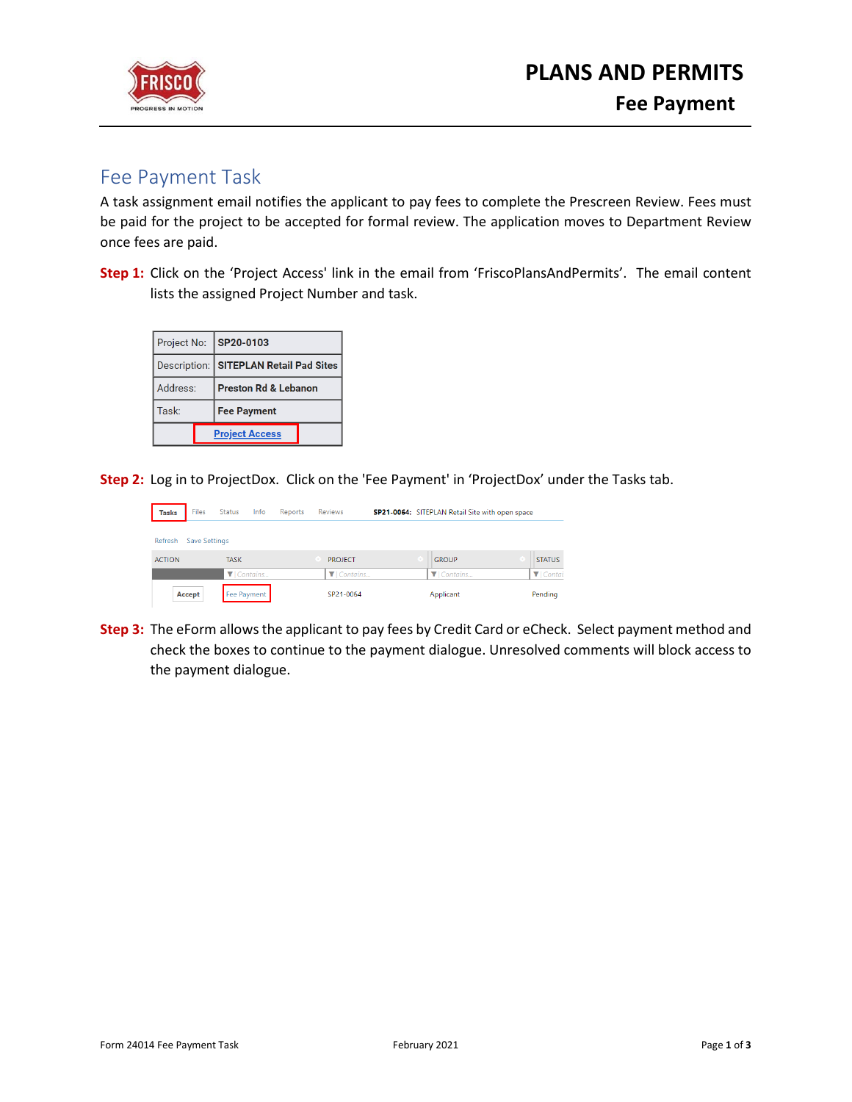



## Fee Payment Task

A task assignment email notifies the applicant to pay fees to complete the Prescreen Review. Fees must be paid for the project to be accepted for formal review. The application moves to Department Review once fees are paid.

**Step 1:** Click on the 'Project Access' link in the email from 'FriscoPlansAndPermits'. The email content lists the assigned Project Number and task.

|                       |  | Project No: SP20-0103                  |  |  |
|-----------------------|--|----------------------------------------|--|--|
|                       |  | Description: SITEPLAN Retail Pad Sites |  |  |
| Address:              |  | <b>Preston Rd &amp; Lebanon</b>        |  |  |
| Task:                 |  | <b>Fee Payment</b>                     |  |  |
| <b>Project Access</b> |  |                                        |  |  |

**Step 2:** Log in to ProjectDox. Click on the 'Fee Payment' in 'ProjectDox' under the Tasks tab.

| <b>Tasks</b>  | Files                | <b>Status</b>                 | Info | Reports | <b>Reviews</b> |  | SP21-0064: SITEPLAN Retail Site with open space |                               |
|---------------|----------------------|-------------------------------|------|---------|----------------|--|-------------------------------------------------|-------------------------------|
| Refresh       | <b>Save Settings</b> |                               |      |         |                |  |                                                 |                               |
| <b>ACTION</b> |                      | <b>TASK</b>                   |      |         | <b>PROJECT</b> |  | <b>GROUP</b>                                    | <b>STATUS</b>                 |
|               |                      | $\blacktriangledown$ Contains |      |         | $\P$ Contains  |  | $\blacktriangledown$ Contains                   | $\blacktriangledown$   Contai |
|               | Accept               | Fee Payment                   |      |         | SP21-0064      |  | Applicant                                       | Pending                       |

**Step 3:** The eForm allows the applicant to pay fees by Credit Card or eCheck. Select payment method and check the boxes to continue to the payment dialogue. Unresolved comments will block access to the payment dialogue.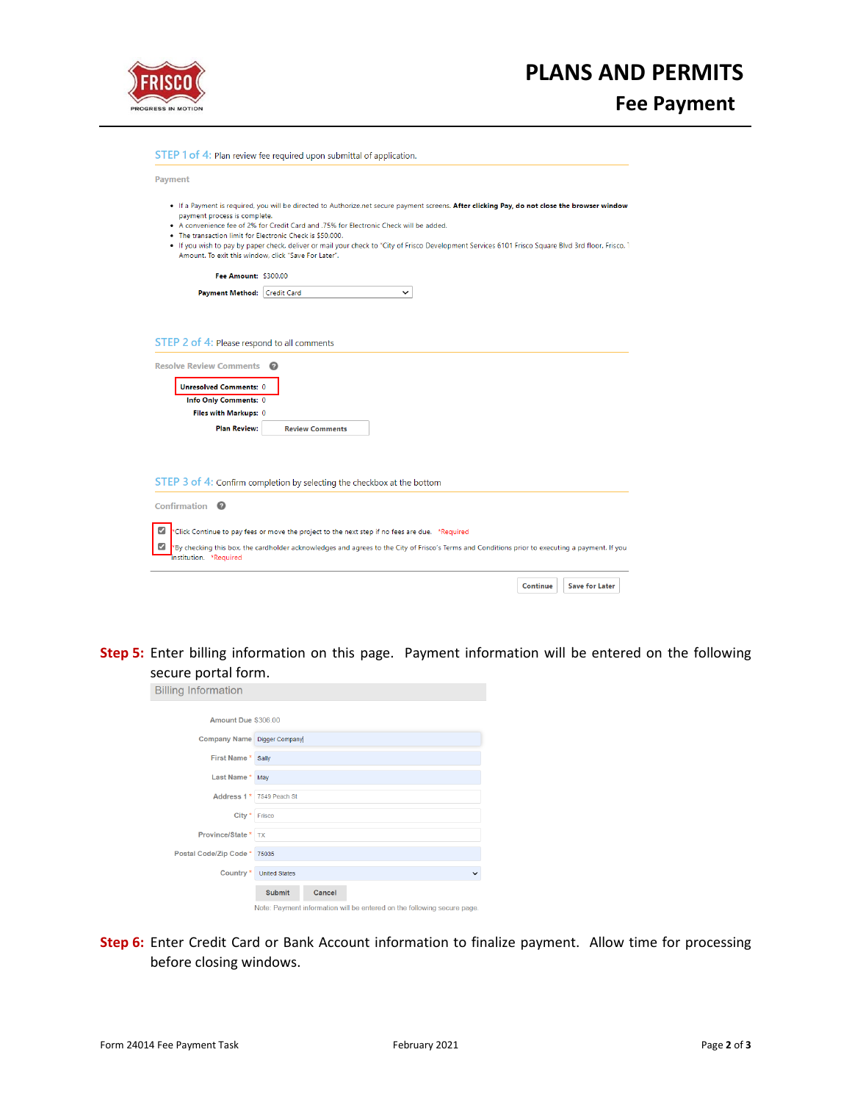

## **PLANS AND PERMITS**

**Fee Payment**

| <b>Payment</b>                                                                                                                                    |                                                                                                                                                                                                                                                                                                                                                                                                 |
|---------------------------------------------------------------------------------------------------------------------------------------------------|-------------------------------------------------------------------------------------------------------------------------------------------------------------------------------------------------------------------------------------------------------------------------------------------------------------------------------------------------------------------------------------------------|
| payment process is complete.<br>. The transaction limit for Electronic Check is \$50,000.<br>Amount. To exit this window, click "Save For Later". | . If a Payment is required, you will be directed to Authorize.net secure payment screens. After clicking Pay, do not close the browser window<br>• A convenience fee of 2% for Credit Card and .75% for Electronic Check will be added.<br>. If you wish to pay by paper check, deliver or mail your check to "City of Frisco Development Services 6101 Frisco Square Blvd 3rd floor, Frisco, T |
| Fee Amount: \$300.00                                                                                                                              |                                                                                                                                                                                                                                                                                                                                                                                                 |
| Payment Method: Credit Card                                                                                                                       | $\check{ }$                                                                                                                                                                                                                                                                                                                                                                                     |
| Info Only Comments: 0<br>Files with Markups: 0                                                                                                    |                                                                                                                                                                                                                                                                                                                                                                                                 |
| <b>Plan Review:</b>                                                                                                                               | <b>Review Comments</b>                                                                                                                                                                                                                                                                                                                                                                          |
|                                                                                                                                                   |                                                                                                                                                                                                                                                                                                                                                                                                 |
|                                                                                                                                                   |                                                                                                                                                                                                                                                                                                                                                                                                 |
|                                                                                                                                                   | STEP 3 of 4: Confirm completion by selecting the checkbox at the bottom                                                                                                                                                                                                                                                                                                                         |
| Confirmation <sup>©</sup>                                                                                                                         |                                                                                                                                                                                                                                                                                                                                                                                                 |
| ☑                                                                                                                                                 | *Click Continue to pay fees or move the project to the next step if no fees are due. *Required                                                                                                                                                                                                                                                                                                  |

**Step 5:** Enter billing information on this page. Payment information will be entered on the following secure portal form.

| <b>Billing Information</b>  |                                                                         |  |  |  |
|-----------------------------|-------------------------------------------------------------------------|--|--|--|
| Amount Due \$306.00         |                                                                         |  |  |  |
| Company Name Digger Company |                                                                         |  |  |  |
| First Name*                 | Sally                                                                   |  |  |  |
| Last Name *                 | May                                                                     |  |  |  |
|                             | Address 1 <sup>*</sup> 7549 Peach St                                    |  |  |  |
| City * Frisco               |                                                                         |  |  |  |
| <b>Province/State * TX</b>  |                                                                         |  |  |  |
| Postal Code/Zip Code *      | 75035                                                                   |  |  |  |
| Country*                    | <b>United States</b><br>$\check{ }$                                     |  |  |  |
|                             | <b>Submit</b><br>Cancel                                                 |  |  |  |
|                             | Note: Payment information will be entered on the following secure page. |  |  |  |

**Step 6:** Enter Credit Card or Bank Account information to finalize payment. Allow time for processing before closing windows.